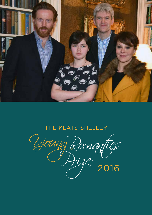

## THE KEATS-SHELLEY

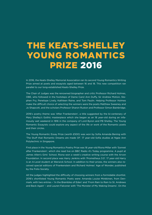# THE KEATS-SHELLEY YOUNG ROMANTICS PRIZE 2016

In 2016, the Keats-Shelley Memorial Association ran its second Young Romantics Writing Prize aimed at poets and essayists aged between 16 and 18. This new competition ran parallel to our long-established Keats-Shelley Prize.

The Chair of Judges was the renowned biographer and critic Professor Richard Holmes, OBE, who followed in the footsteps of Dame Carol Ann Duffy, Sir Andrew Motion, Stephen Fry, Penelope Lively, Kathleen Raine, and Tom Paulin. Helping Professor Holmes make the difficult choice of selecting the winners were the poets Matthew Sweeney and Jo Shapcott, and the scholars Professor Sharon Ruston and Professor Simon Bainbridge.

2016's poetry theme was 'After Frankenstein', a title suggested by the bi-centenary of Mary Shelley's Gothic masterpiece which she began as an 18 year-old during an infamously wet weekend in 1816 in the company of Lord Byron and PB Shelley. The Young Romantic Essayists could explore any aspect of the life or work of the Romantic poets and their circles.

The Young Romantic Essay Prize (worth £500) was won by Sofia Amanda Bening with 'The Stuff that Romantic Dreams are made Of'. 17 year-old Sofia studies at Ngee Ann Polytechnic in Singapore.

First place in the Young Romantics Poetry Prize was 16 year-old Riona Millar with 'Sonnet after Frankenstein', which she read live on BBC Radio 4's Today programme. A pupil at James Allen's Girls' School, Riona won a week's creative writing course with the Arvon Foundation. In second place was Harry Jenkins with 'Prometheus 3.0'. 17 year-old Harry is an A-Level student at Warwick School. In addition to their prizes, the winners also received special editions of Frankenstein and Richard Holmes' Age of Wonder, published by the Folio Society.

All the judges highlighted the difficulty of choosing winners from a formidable shortlist. 2016's shortlisted Young Romantic Poets were: Amanda Louise Minkkinen, from Denmark, with two entries – 'In the Brambles of Eden' and 'From Rain to Rain to St. Andrews and Back Again' – and Lauren Falconer with 'The Monster of My Waking Dreams'. On the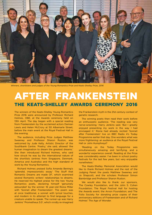

*Winners, shortlisters and judges of the Young Romantics Prize and Keats-Shelley Prize, 2016*

## AFTER FRANKENSTEIN THE KEATS-SHELLEY AWARDS CEREMONY 2016

The winners of the Keats-Shelley Young Romantics Prize 2016 were announced by Professor Richard Holmes, OBE, at the Awards ceremony held on 13th April. The day began with a special reading from Frankenstein by the acclaimed actors Damian Lewis and Helen McCrory at 50 Albemarle Street, before the main event at the Royal Festival Hall in the evening.

The audience, including Prize Judges Matthew Sweeney and Professor Sharon Ruston, was welcomed by Jude Kelly, Artistic Director of the Southbank Centre. 'Poetry,' she said, allowed 'the human imagination to dream the greatest dreams.' She then introduced Richard Holmes, who said how struck he was by the international nature of the shortlists (entries from Singapore, Denmark, America and Australia) and the high standard of work by the Young Romantics.

Richard Holmes praised Sofia Amanda Bening's 'splendid, impressionistic essay' 'The Stuff that Romantic Dreams are made Of', which examined several Romantic writers' relationships to dreams. He reserved his highest praise for the two Young Romantics poets, declaring himself 'genuinely astounded' by the winner: 16 year-old Riona Millar with 'Sonnet after Frankenstein'. The poem was at once traditional, a sonnet with lyrical touches, and modern in its attempt to find language for a creature unable to speak. The runner-up was Harry Jenkins' 'Prometheus 3.0', which vividly re-imagined

the Frankenstein myth in the 21st century context of genetic research.

The winning poets then read their work before an enthusiastic audience. 'The reading was very nerve-wracking,' Harry Jenkins said. 'But I greatly enjoyed presenting my work in the way I had envisaged it.' Riona had already recited 'Sonnet after Frankenstein' live on BBC Radio 4's Today Programme earlier that day. One wonders what was more frightening: an audience at the Royal Festival Hall or John Humphreys?

'Reading on the Today Programme was simultaneously amazing and terrifying, and a wonderful experience overall. Reading at the Prize was considerably easier. I've been in school poetry festivals for the last few years, but very enjoyable nonetheless.'

The Keats-Shelley Memorial Association would like to thank Richard Holmes and the rest of the Judging Panel: the poets Matthew Sweeney and Jo Shapcott, and the scholars Professor Simon Bainbridge and Professor Sharon Ruston.

We would also like to thank: our sponsors, The Cowley Foundation, and the John S. Cohen Foundation; The Royal Festival Hall for hosting the Awards event; the Arvon Foundation; and The Folio Society for donating prize copies of their anniversary editions of Frankenstein and of Richard Holmes' The Age of Wonder.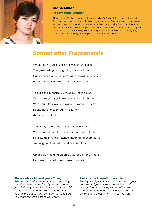

### Riona Miller Poetry Prize Winner

Riona, aged 16, is a student at James Allen's Girls' School, studying History, English Literature, Latin and Philosophy at A Level. She has been commended for her poems by the Kingston Reader's Festival and the Basil Bunting Poetry Awards. In 2011 was runner-up in a Guardian short story competition. Last year she was one of the winning Foyle Young Poets. She would like to study English Literature at university, and hopes to be a full-time poet.

### Sonnet after Frankenstein

Wreathed in laurels; glossy leaves unfurl, coiled, The great pale gloaming thing unravels limbs, Grins, hitches weeping gums wide, growling hymns, Praising Father, Master, he who slaved, toiled

To build this monstrous structure - he is soiled With these grimly yellowed stains, he who brims With boundless love and wonder - awed, he skims Round flat stones through his father's throat - unspoiled.

The night, a temptress, plucks his peeling heart, Wet, from his dappled chest, as moonlight blinds Him; stumbling, mismatched, made up of spare parts And engine oil. He trips, and falls. He finds

Great pale gloaming blooms that feed on the moon: He wakens not, with frail blossoms strewn.

#### Riona's advice for next year's Young

Romantics. *I think the most important thing that I've been told is that if you don't enter, you definitely won't win. It is also quite useful to start anew, working from a theme. But if you have a poem that seems to fit, make sure you redraft a little before you enter!*

#### Riona on the Romantic poets. *Keats,*

*Shelley and Byron stand out to me as hugely important figures within the evolution of poetry. They are driving forces within the Romantic movement that allowed poetry to develop and blossom into what it is now.*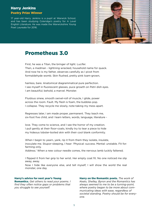### Harry Jenkins Poetry Prize Winner

17 year-old Harry Jenkins is a pupil at Warwick School, and has been studying Coleridge's poetry for A Level English Literature. He was made the Warwickshire Young Poet Laureate for 2016.



### Prometheus 3.0

First, he was a Titan, the bringer of light. Lucifer. Then, a madman - lightning wracked, household name for quack. And now he is my father, observes carefully as I pivot from formaldehyde womb. Skin flushed, pretty pink loam-grown,

hairless, bare. Anatomical diagrammatical pure perfection. I see myself in fluorescent glasses, puce growth on Petri dish eyes. I am beautiful; behold, a marvel. Monster.

Fluidous sinew, smooth swivel-roll of muscle, I glide, power across the room. Fault. My flesh is foam, the bubbles pop. I collapse. They recycle me slowly, note-taking my mess apart.

Regresses later, I am made proper, permanent. They teach me, six-foot five child, and I learn letters, words, language, literature -

love. They come to science, and I see the horror of my creation. I pull gently at their floor-coats, kindly try to tear a piece to hide my hideous lobster-boiled skin with their cool blank conformity.

When I begin to yearn, yank, rip it from them they isolate, insulate, inoculate me. Stupor-sleeping, I hear: 'Physical: success. Mental: unstable. Fit for: farming only.

Address.' When a new colour needle comes, the nervous lamb luckily faltered;

I flipped it from her grip to her wrist. Her empty coat fit. No one noticed me slip away, away.

Now I hide like everyone else, and tell myself, I will show the world the real monster, one day.

#### Harry's advice for next year's Young

Romantics. *Get others to read your poems. I find they often notice gaps or problems that you struggle to see yourself.*

Harry on the Romantic poets. *The work of Keats, Shelley, Byron and the Romantics has always seemed to me to be a turning-point, where poetry began to be more about communicating ideas with ease, regardless of societal standing. Poetry should be for everyone.*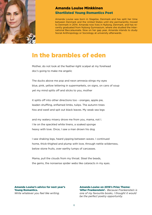

### Amanda Louise Minkkinen Shortlisted Young Romantics Poet

Amanda Louise was born in Slagelse, Denmark and has split her time between Denmark and the United States until she permanently moved to Denmark in 2014. Amanda now lives in Nyborg, Denmark, and has recently graduated from Nyborg Gymnasium, where she studied the International Baccalaureate. Now on her gap year, Amanda intends to study Social Anthropology or Sociology at university afterwards.

### In the brambles of eden

Mother, do not look at the feather-light scalpel at my forehead doc's going to make me angelic

The ducks above me pop and neon amnesia stings my eyes blue, pink, yellow lettering in supermarkets, on signs, on cans of soup yet my mind splits off and sticks to you, mother

it splits off into other directions too - oranges, apple pie, leaden shuffling, enflamed limbs, tulips. The autumn trees hiss and swell and spit out black leaves. My weak sea legs

and my watery misery drove me from you, mama, not I. I lie on the speckled white linens, a soaked sponge heavy with love. Once, I saw a man drown his dog

I saw shaking legs, heard yipping between waves. I continued home, thick-thighed and plump with love, through nettle wilderness, below stone fruits, over earthy lumps of carcasses.

Mama, pull the clouds from my throat. Steal the beads, the gems, the nonsense spider webs like cataracts in my eyes.

Amanda Louise's advice for next year's Young Romantics. *Write whatever you feel like writing.* 

Amanda Louise on 2016's Prize Theme: 'After Frankenstein'. *Because Frankenstein is one of my favourite books, I thought it would be the perfect poetry opportunity.*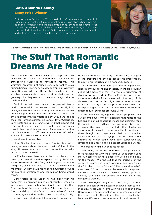### Sofia Amanda Bening Essay Prize Winner

Sofia Amanda Bening is a 17-year-old Mass Communications student at Ngee Ann Polytechnic, Singapore. 'Although I have always been interested in the Romantics and the Romantic period, by no means have I ever studied the works in depth, let alone write an entire essay about them. I am so glad I took the plunge.' Sofia hopes to continue studying media and culture in a university in either the UK or America.



*We have excerpted Sofia's essay here for reasons of space. It will be published in full in the Keats-Shelley Review in Spring 2017*

# The Stuff That Romantic Dreams Are Made Of

We all dream. We dream when we sleep, but also when we are awake; the humdrum of reality has us transporting ourselves to fantastical realms. This whimsical dreamland of ours is very important to us as human beings. It serves as an escape from our everyday lives. Dreams, whether those that manifest in our slumber or in our state of boredom at our desks, are our getaways. But they seemed to be more than just that to the Romantics.

Could it be that dreams fuelled the greatest literary works produced in the Romantic era? After all, it is widely-known that Mary Shelley wrote Frankenstein after having a dream about the creation of a new man by a scientist with the hubris to play God. If we look at the other Romantic greats, like Samuel Taylor Coleridge, John Keats and Lord Byron, we will find that dreams had a big part to play in their works as well. These Romantics took to heart and fully explored Shakespeare's notion that "we are such stuff dreams are made on". What exactly did dreams mean to them?

We dream to remember.

Mary Shelley famously wrote Frankenstein after having a dream about the events that unfolded in the story. However, what about the dreams that actually occur in the story itself?

In Frankenstein, there are at least two levels of a dream, or dream-like vision experienced by the titular Victor Frankenstein. The first, which is given a dreamlike quality by his insistence that it is not "the vision of a madman" (Shelley 47), is his hopeful daydream of what his scientific creation of another human being would mean.

Victor refers to this vision he has, along with his hope that his creation might be "beautiful," when he later laments, on actually witnessing it come to life, that "the beauty of the dream vanished" to be replaced by "horror and disgust" at a "wretch" more "hideous" than a "mummy again endued with animation" (Shelley 52-53).

Victor's second dream takes a much darker turn.

He rushes from his laboratory after recoiling in disgust at the creature and tries to escape his problems by focussing his thoughts on his fiancée, Elizabeth.

This horrifying nightmare that Victor experiences raises many questions and theories. There are Freudian critics who have said that this Victor's nightmare of digging up body-parts in Mother Earth is rooted in an unconscious desire for a reunion with the body of his deceased mother. Is this nightmare a representation of Victor's real urges and deep desires? He could have been pointing us to the third answer to our question: we dream to fulfil our most profound wishes.

In the early 1900's, Sigmund Freud proposed that our dreams have symbolic meanings that relate to the fulfilling of our subconscious wishes and desires. Freud theorized that everything that we remember from a dream after waking up is an indication of what we unconsciously desire to do or accomplish. In our dreams, these thoughts and urges are at their most primitive, hence the vivid and horrifying nature of some of our nightmares. Victor could have been subconsciously revealing and unearthing his deepest urges and wishes.

We dream to fulfil our deepest desires.

One poem, written by John Keats, encapsulates all three reasons for why we dream: La Belle Dame Sans Merci. It tells of a knight's obsession with a lady he saw "in the meads". We find out that the knight is on the verge of death. The lady's romantic gestures "lulled (him) to sleep" and he "dream'd" the "latest dream he'd ever dream'd". In this dream, the knight is transported into some kind of hell where he sees the lady's previous victims, "pale kings and princes" who warn him of the dangerous woman.

Like Coleridge's "Dejection: An Ode", "La Belle Dame" also conveys the message that we dream to heal. In reality, Keats was in love with his neighbour, Fanny Brawne, while he was stricken with tuberculosis and on the brink of death. The knight in the poem is enchanted by a beautiful seductress who traps him and causes him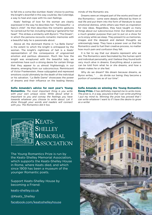to fall into a coma-like slumber. Keats' choice to portray the knight's downfall in this way could be, like Coleridge, a way to heal and cope with his own feelings.

Keats' feelings of love for the woman are clearly expressed in the way he describes her: "full beautiful - a faery's child". He then describes the romantic gestures he carried out for her, including making a "garland for her head". This strikes a similarity with Byron's "The Dream", in which the persona recounts romantic memories with a beautiful lady he is passionate about.

Above all, the dominant theme in "La Belle Dame" is the extent to which the knight is entrapped by the woman. The knight's nightmare of hell is a Keats' representation of the consequence of ungoverned emotion and perilous obsession. Much like how the knight was enraptured with the beautiful lady, we sometimes have such a strong desire for certain things that they appear to us almost frighteningly in our dreams, emerging from our subconscious. Reminiscent of Victor Frankenstein, these subjugated and repressed emotions could ultimately be the death of the individual or his salvation. "La Belle Dame" showcases the power of dreams and their influence on the leading literary

Sofia Amanda's advice for next year's Young Romantics. *The most important thing is you write with your own unique voice. Write about what is important to you and convey the feelings you have towards whatever you choose to write about. Let it shine through your words and readers will connect with you. The Romantics did it too.*

minds of the Romantic era.

Dreams were an integral part of the works and lives of the Romantics - some were deeply affected by them in real life and put them into the form of literature to ease emotional distress, while others saw them as inspiration for new ideas. Regardless, they have taught us many things about our subconscious mind. Our dreams serve a much greater purpose than just to put on a show for us to enjoy while we sleep. They present to us memories, images and the deepest and darkest thoughts we unknowingly keep. They have a power over us that the Romantics used to fuel their creative process, no matter how much pain and confusion they felt.

It is fair to say that our dreams represent who we are. The Romantics were fascinated by the human spirit and individual personality, and I believe they found both very much alive in dreams. Everything about a person can be told from what he or she dreams, and how a dream makes he or she feel.

Why do we dream? We dream because dreams, as Byron writes, " . . . do divide our being; they become a portion of ourselves as of our time".

Sofia Amanda on winning the Young Romantics Essay Prize. *It has definitely inspired me to write more. The prize is, in a way, assurance that I can write anything I put my mind to. Winning the prize has proved that I can write whatever I want to if I have the desire to grow as a writer*



The Young Romantics Prize is run by the Keats-Shelley Memorial Association, which supports the Keats-Shelley House in Rome, where Keats died, and which since 1909 has been a museum of the younger Romantic poets.

Support Keats-Shelley House by becoming a Friend:

keats-shelley.co.uk

@Keats\_Shelley

facebook.com/keatsshelleyhouse

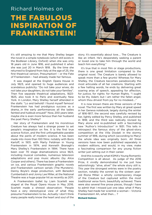# Richard Holmes on THE FABULOUS INSPIRATION OF FRANKENSTEIN!



It's still amazing to me that Mary Shelley began the novel in a simple notebook (which still exists in the Bodleian Library, Oxford) when she was only 18 years old in June 1816, and published it when she was just 20 in March 1818. By the time she returned to England from Italy at the age of 25, the first theatrical version, Presumption! – or the Fate of Frankenstein – had already made her famous.

It was staged at the English Opera House in July 1823, and opened to huge audiences and scandalous publicity: "Do not take your wives, do not take your daughters, do not take your families". Then five separate theatrical adaptations, 1823- 1825, also took it to Paris and eventually New York. In London, Mary Shelley herself attended in the stalls: "Lo and behold! I found myself famous! Frankenstein has had prodigious success as a drama…in the early performances all the ladies fainted and hubbub ensued!" Now, 200 years later, maybe she is even more famous than her husband the poet Percy Shelley?

Her story of Frankenstein and his monstrous Creature has always had a strange power to set people's imagination on fire. It is the first true science fiction, and the first unforgettable parable about the perils of modern science. It has been made into more than 100 films: notably with Boris Karloff, in 1931; with Marty Feldman in Young Frankenstein in 1974; and Kenneth Branagh's Mary Shelley's Frankenstein in 1994. There have been over 70 stage dramatizations since 1823, including musical comedies, numerous television adaptations and pop music albums (by Alice Cooper and others). There has been a Frankenstein on ice, and various Frankenstein graphic novels and Frankenstein cartoon serials (The Munsters). Danny Boyle's stage production, with Benedict Cumberbatch and Jonny Lee Miller, at the National Theatre was a huge popular hit as recently as 2011.

A Frankenstein ballet by Liam Scarlett was staged at the Royal Opera House in May 2016. Scarlett made a shrewd observation: 'People have a very stereotypical view of what they presume Frankenstein to be…Actually I don't think many people really know the heart and soul of the story. It's essentially about love…. The Creature is like an infant. He's desperately seeking a parent or loved one to take him through the world and teach him everything."

It's true that in most film or stage productions, there is one great limitation compared to the original novel. The Creature is barely allowed to speak more than a few grunts! Whereas for Mary Shelley, the Creature becomes paradoxically the most articulate of all her creations. Starting with a few halting words, he ends by delivering great soaring arias of speech, appealing for affection, for justice, for rights: for Human Rights. "I ought to be thy Adam; but I am rather the fallen angel, whom thou drivest from joy for no misdeed…."

It is now known there are three versions of the novel. The first was written by Mary at great speed in her Geneva notebook, largely during the winter of 1816-1817; the second was carefully revised by her, lightly edited by Percy Shelley, and published in 1818; and the third was radically revised by Mary alone and re-published with a fascinating new "Author's Introduction" in 1831. This tells in retrospect the famous story of the ghost-story competition at the Villa Diodati in the stormy summer of 1816, during which (according to Mary) the whole idea was originally born. All three versions have now been published separately in modern editions, and would, in my view, make a fascinating comparison for any young fiction writer just setting out in their career.

And this is exactly what KSMA's Young Romantic Competition is all about. As judge of the 2016 Prize, it vividly demonstrated to me just how astonishingly "alive, alive!" the whole story still is. This year the strongest entries were in the poetry section, notably the sonnet by the sixteen yearold Riona Millar: a wholly contemporary image of the Creature but captured within the most traditional verse form, beautifully achieved. There were also several fine prose pieces, though I have to admit that I missed just one idea: what if Mary Shelley had made her scientist a woman – Victoria Frankenstein! Ah, what then…. ?

#### Richard Holmes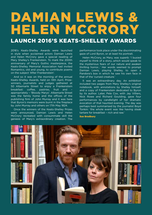# DAMIAN LEWIS & HELEN MCCRORY LAUNCH 2016'S KEATS-SHELLEY AWARDS

2016's Keats-Shelley Awards were launched in style when acclaimed actors Damian Lewis and Helen McCrory gave a special reading of Mary Shelley's Frankenstein. To mark the 200th anniversary of Mary's Gothic masterpiece, the Keats-Shelley Memorial Association had invited Romantics, old and young, to contribute poems on the subject 'After Frankenstein'.

And so it was on the morning of the annual Keats-Shelley Awards, held on 13th April, Prizewinners, journalists and judges gathered at 50 Albemarle Street to enjoy a Frankenstein breakfast: coffee, pastries, fruit and – appropriately – 'Bloody Marys'. Albemarle Street was the family home and the offices of the publishing firm of John Murray and it was here that Byron's memoirs were burnt in the fireplace by John Murray and others on 17th May 1824.

Once the winners of the Keats-Shelley Prizes were announced, Damian Lewis and Helen McCrory recreated with consummate skill the genesis of Mary's extraordinary creation. The performance took place under the discriminating gaze of Lord Byron, or at least his portrait.

Helen McCrory, as Mary, was superb: 'I busied myself to think of a story…which would speak to the mysterious fears of our nature and awaken thrilling horror…' Her words seemed to prompt Damian Lewis, playing Shelley, to open a Pandora's box in which he saw his own face in that of the 'cursed creature.'

It was an extraordinary day. An exhibition included two pages from Mary Shelley's original notebook, with annotations by Shelley himself, and a copy of Frankenstein dedicated to Byron by its author. Later, Pele Cox, with Jay Villiers, Nick Rowe and Richard Goulding, gave four performances by candlelight of her dramatic evocation of that haunted evening. The day was perhaps best summarised by the journalist Boyd Tonkin: 'the whole event was like having steak tartare for breakfast – rich and raw.'



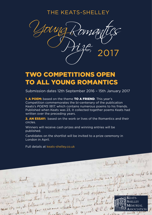THE KEATS-SHELLEY



## TWO COMPETITIONS OPEN TO ALL YOUNG ROMANTICS

Submission dates 12th September 2016 – 15th January 2017

1. A POEM: based on the theme TO A FRIEND. This year's Competition commemorates the bi-centenary of the publication Keats's *POEMS 1817,* which contains numerous poems to his friends. Published when Keats was 23, it collected together poems Keats had written over the preceding years.

2. AN ESSAY: based on the work or lives of the Romantics and their circles.

Winners will receive cash prizes and winning entries will be published.

Candidates on the shortlist will be invited to a prize ceremony in London in April.

Full details at keats-shelley.co.uk

Margate, May 10th The lette Gentleman that sometimes tuilles una gofsiste house ought to be come in neighbinef f a coasted und and chouled me subight for not having an ome un recipiend de la comme you and de la suppose that I was in Town to par ét, no, il followed une te the isle of trylet and I got the part **MEMORIAL A**SSOCIATION